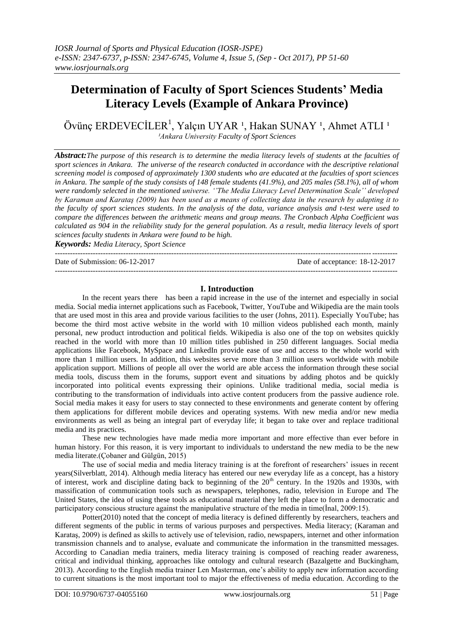# **Determination of Faculty of Sport Sciences Students' Media Literacy Levels (Example of Ankara Province)**

Övünç ERDEVECİLER<sup>1</sup>, Yalçın UYAR<sup>1</sup>, Hakan SUNAY<sup>1</sup>, Ahmet ATLI<sup>1</sup> *¹Ankara University Faculty of Sport Sciences*

*Abstract:The purpose of this research is to determine the media literacy levels of students at the faculties of sport sciences in Ankara. The universe of the research conducted in accordance with the descriptive relational screening model is composed of approximately 1300 students who are educated at the faculties of sport sciences in Ankara. The sample of the study consists of 148 female students (41.9%), and 205 males (58.1%), all of whom were randomly selected in the mentioned universe. ''The Media Literacy Level Determination Scale'' developed by Karaman and Karataş (2009) has been used as a means of collecting data in the research by adapting it to the faculty of sport sciences students. In the analysis of the data, variance analysis and t-test were used to compare the differences between the arithmetic means and group means. The Cronbach Alpha Coefficient was calculated as 904 in the reliability study for the general population. As a result, media literacy levels of sport sciences faculty students in Ankara were found to be high.*

*Keywords: Media Literacy, Sport Science* ---------------------------------------------------------------------------------------------------------------------------------------

Date of Submission: 06-12-2017 Date of acceptance: 18-12-2017

#### **I. Introduction**

---------------------------------------------------------------------------------------------------------------------------------------

In the recent years there has been a rapid increase in the use of the internet and especially in social media. Social media internet applications such as Facebook, Twitter, YouTube and Wikipedia are the main tools that are used most in this area and provide various facilities to the user (Johns, 2011). Especially YouTube; has become the third most active website in the world with 10 million videos published each month, mainly personal, new product introduction and political fields. Wikipedia is also one of the top on websites quickly reached in the world with more than 10 million titles published in 250 different languages. Social media applications like Facebook, MySpace and LinkedIn provide ease of use and access to the whole world with more than 1 million users. In addition, this websites serve more than 3 million users worldwide with mobile application support. Millions of people all over the world are able access the information through these social media tools, discuss them in the forums, support event and situations by adding photos and be quickly incorporated into political events expressing their opinions. Unlike traditional media, social media is contributing to the transformation of individuals into active content producers from the passive audience role. Social media makes it easy for users to stay connected to these environments and generate content by offering them applications for different mobile devices and operating systems. With new media and/or new media environments as well as being an integral part of everyday life; it began to take over and replace traditional media and its practices.

These new technologies have made media more important and more effective than ever before in human history. For this reason, it is very important to individuals to understand the new media to be the new media literate.(Çobaner and Gülgün, 2015)

The use of social media and media literacy training is at the forefront of researchers' issues in recent years(Silverblatt, 2014). Although media literacy has entered our new everyday life as a concept, has a history of interest, work and discipline dating back to beginning of the 20<sup>th</sup> century. In the 1920s and 1930s, with massification of communication tools such as newspapers, telephones, radio, television in Europe and The United States, the idea of using these tools as educational material they left the place to form a democratic and participatory conscious structure against the manipulative structure of the media in time(İnal, 2009:15).

Potter(2010) noted that the concept of media literacy is defined differently by researchers, teachers and different segments of the public in terms of various purposes and perspectives. Media literacy; (Karaman and Karataş, 2009) is defined as skills to actively use of television, radio, newspapers, internet and other information transmission channels and to analyse, evaluate and communicate the information in the transmitted messages. According to Canadian media trainers, media literacy training is composed of reaching reader awareness, critical and individual thinking, approaches like ontology and cultural research (Bazalgette and Buckingham, 2013). According to the English media trainer Len Masterman, one's ability to apply new information according to current situations is the most important tool to major the effectiveness of media education. According to the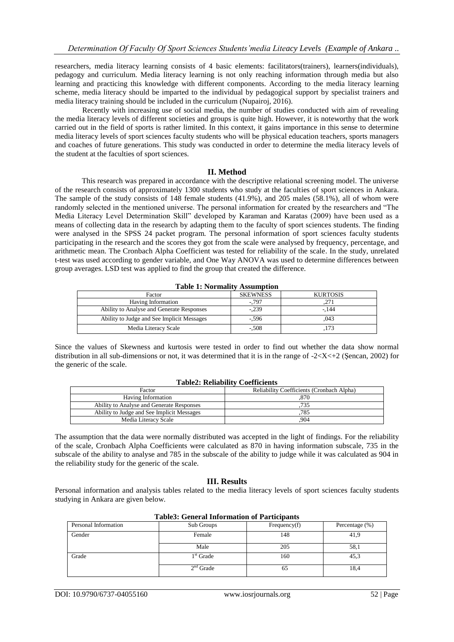researchers, media literacy learning consists of 4 basic elements: facilitators(trainers), learners(individuals), pedagogy and curriculum. Media literacy learning is not only reaching information through media but also learning and practicing this knowledge with different components. According to the media literacy learning scheme, media literacy should be imparted to the individual by pedagogical support by specialist trainers and media literacy training should be included in the curriculum (Nupairoj, 2016).

Recently with increasing use of social media, the number of studies conducted with aim of revealing the media literacy levels of different societies and groups is quite high. However, it is noteworthy that the work carried out in the field of sports is rather limited. In this context, it gains importance in this sense to determine media literacy levels of sport sciences faculty students who will be physical education teachers, sports managers and coaches of future generations. This study was conducted in order to determine the media literacy levels of the student at the faculties of sport sciences.

### **II. Method**

This research was prepared in accordance with the descriptive relational screening model. The universe of the research consists of approximately 1300 students who study at the faculties of sport sciences in Ankara. The sample of the study consists of 148 female students (41.9%), and 205 males (58.1%), all of whom were randomly selected in the mentioned universe. The personal information for created by the researchers and "The Media Literacy Level Determination Skill" developed by Karaman and Karatas (2009) have been used as a means of collecting data in the research by adapting them to the faculty of sport sciences students. The finding were analysed in the SPSS 24 packet program. The personal information of sport sciences faculty students participating in the research and the scores they got from the scale were analysed by frequency, percentage, and arithmetic mean. The Cronbach Alpha Coefficient was tested for reliability of the scale. In the study, unrelated t-test was used according to gender variable, and One Way ANOVA was used to determine differences between group averages. LSD test was applied to find the group that created the difference.

| таріє т. туп шангу Assumbuon               |                 |                 |  |  |  |  |  |  |
|--------------------------------------------|-----------------|-----------------|--|--|--|--|--|--|
| Factor                                     | <b>SKEWNESS</b> | <b>KURTOSIS</b> |  |  |  |  |  |  |
| Having Information                         | -.797           | .271            |  |  |  |  |  |  |
| Ability to Analyse and Generate Responses  | $-.239$         | $-144$          |  |  |  |  |  |  |
| Ability to Judge and See Implicit Messages | $-.596$         | .043            |  |  |  |  |  |  |
| Media Literacy Scale                       | $-.508$         | .173            |  |  |  |  |  |  |

**Table 1: Normality Assumption**

Since the values of Skewness and kurtosis were tested in order to find out whether the data show normal distribution in all sub-dimensions or not, it was determined that it is in the range of  $-2 < X < +2$  (Sencan, 2002) for the generic of the scale.

| Factor                                     | Reliability Coefficients (Cronbach Alpha) |
|--------------------------------------------|-------------------------------------------|
| Having Information                         | 870                                       |
| Ability to Analyse and Generate Responses  | 735                                       |
| Ability to Judge and See Implicit Messages | 785                                       |
| Media Literacy Scale                       | 904                                       |

#### **Table2: Reliability Coefficients**

The assumption that the data were normally distributed was accepted in the light of findings. For the reliability of the scale, Cronbach Alpha Coefficients were calculated as 870 in having information subscale, 735 in the subscale of the ability to analyse and 785 in the subscale of the ability to judge while it was calculated as 904 in the reliability study for the generic of the scale.

### **III. Results**

Personal information and analysis tables related to the media literacy levels of sport sciences faculty students studying in Ankara are given below.

| Tables. General Hilbi mation of T al depants |             |              |                   |  |  |  |  |  |
|----------------------------------------------|-------------|--------------|-------------------|--|--|--|--|--|
| Personal Information                         | Sub Groups  | Frequency(f) | Percentage $(\%)$ |  |  |  |  |  |
| Gender                                       | Female      | 148          | 41,9              |  |  |  |  |  |
|                                              | Male        | 205          | 58,1              |  |  |  |  |  |
| Grade                                        | $1st$ Grade | 160          | 45.3              |  |  |  |  |  |
|                                              | $2nd$ Grade | 65           | 18,4              |  |  |  |  |  |

#### **Table3: General Information of Participants**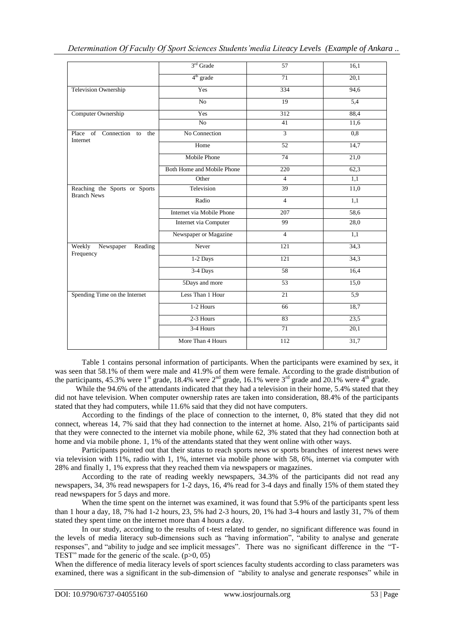|                                                     | 3 <sup>rd</sup> Grade      | 57              | 16,1              |
|-----------------------------------------------------|----------------------------|-----------------|-------------------|
|                                                     | $4th$ grade                | 71              | 20,1              |
| Television Ownership                                | Yes                        | 334             | 94,6              |
|                                                     | $\overline{No}$            | $\overline{19}$ | 5,4               |
| Computer Ownership                                  | Yes                        | 312             | 88,4              |
|                                                     | No                         | 41              | 11,6              |
| Place of Connection to the<br>Internet              | No Connection              | $\overline{3}$  | 0,8               |
|                                                     | Home                       | 52              | 14,7              |
|                                                     | <b>Mobile Phone</b>        | 74              | 21,0              |
|                                                     | Both Home and Mobile Phone | 220             | 62,3              |
|                                                     | Other                      | $\overline{4}$  | 1,1               |
| Reaching the Sports or Sports<br><b>Branch News</b> | Television                 | 39              | 11,0              |
|                                                     | Radio                      | $\overline{4}$  | 1,1               |
|                                                     | Internet via Mobile Phone  | 207             | 58,6              |
|                                                     | Internet via Computer      | 99              | 28,0              |
|                                                     | Newspaper or Magazine      | $\overline{4}$  | 1,1               |
| Weekly<br>Newspaper<br>Reading                      | Never                      | 121             | 34,3              |
| Frequency                                           | 1-2 Days                   | 121             | 34,3              |
|                                                     | 3-4 Days                   | 58              | 16,4              |
|                                                     | 5Days and more             | $\overline{53}$ | 15,0              |
| Spending Time on the Internet                       | Less Than 1 Hour           | 21              | 5,9               |
|                                                     | 1-2 Hours                  | 66              | 18,7              |
|                                                     | 2-3 Hours                  | 83              | $\overline{23,5}$ |
|                                                     | 3-4 Hours                  | 71              | 20,1              |
|                                                     | More Than 4 Hours          | 112             | 31,7              |

*Determination Of Faculty Of Sport Sciences Students'media Liteacy Levels (Example of Ankara ..*

Table 1 contains personal information of participants. When the participants were examined by sex, it was seen that 58.1% of them were male and 41.9% of them were female. According to the grade distribution of the participants, 45.3% were 1<sup>st</sup> grade, 18.4% were 2<sup>nd</sup> grade, 16.1% were 3<sup>rd</sup> grade and 20.1% were 4<sup>th</sup> grade.

While the 94.6% of the attendants indicated that they had a television in their home, 5.4% stated that they did not have television. When computer ownership rates are taken into consideration, 88.4% of the participants stated that they had computers, while 11.6% said that they did not have computers.

According to the findings of the place of connection to the internet, 0, 8% stated that they did not connect, whereas 14, 7% said that they had connection to the internet at home. Also, 21% of participants said that they were connected to the internet via mobile phone, while 62, 3% stated that they had connection both at home and via mobile phone. 1, 1% of the attendants stated that they went online with other ways.

Participants pointed out that their status to reach sports news or sports branches of interest news were via television with 11%, radio with 1, 1%, internet via mobile phone with 58, 6%, internet via computer with 28% and finally 1, 1% express that they reached them via newspapers or magazines.

According to the rate of reading weekly newspapers, 34.3% of the participants did not read any newspapers, 34, 3% read newspapers for 1-2 days, 16, 4% read for 3-4 days and finally 15% of them stated they read newspapers for 5 days and more.

When the time spent on the internet was examined, it was found that 5.9% of the participants spent less than 1 hour a day, 18, 7% had 1-2 hours, 23, 5% had 2-3 hours, 20, 1% had 3-4 hours and lastly 31, 7% of them stated they spent time on the internet more than 4 hours a day.

In our study, according to the results of t-test related to gender, no significant difference was found in the levels of media literacy sub-dimensions such as "having information", "ability to analyse and generate responses", and "ability to judge and see implicit messages". There was no significant difference in the "T-TEST" made for the generic of the scale.  $(p>0, 05)$ 

When the difference of media literacy levels of sport sciences faculty students according to class parameters was examined, there was a significant in the sub-dimension of "ability to analyse and generate responses" while in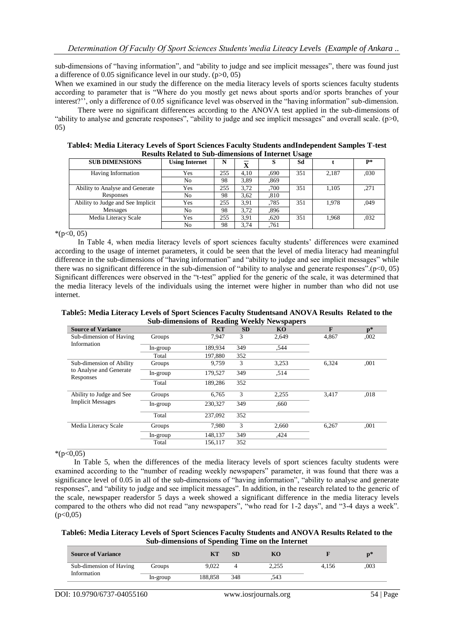sub-dimensions of "having information", and "ability to judge and see implicit messages", there was found just a difference of 0.05 significance level in our study.  $(p>0, 05)$ 

When we examined in our study the difference on the media literacy levels of sports sciences faculty students according to parameter that is "Where do you mostly get news about sports and/or sports branches of your interest?'', only a difference of 0.05 significance level was observed in the "having information" sub-dimension.

 There were no significant differences according to the ANOVA test applied in the sub-dimensions of "ability to analyse and generate responses", "ability to judge and see implicit messages" and overall scale. (p>0, 05)

| Table4: Media Literacy Levels of Sport Sciences Faculty Students andIndependent Samples T-test |  |
|------------------------------------------------------------------------------------------------|--|
| <b>Results Related to Sub-dimensions of Internet Usage</b>                                     |  |

| <b>SUB DIMENSIONS</b>             | <b>Using Internet</b> | N   | X    | S    | Sd  |       | $\mathbf{p}$ |
|-----------------------------------|-----------------------|-----|------|------|-----|-------|--------------|
| Having Information                | Yes                   | 255 | 4.10 | ,690 | 351 | 2,187 | ,030         |
|                                   | No                    | 98  | 3.89 | .869 |     |       |              |
| Ability to Analyse and Generate   | Yes                   | 255 | 3.72 | .700 | 351 | 1.105 | ,271         |
| Responses                         | No                    | 98  | 3.62 | .810 |     |       |              |
| Ability to Judge and See Implicit | Yes                   | 255 | 3.91 | .785 | 351 | 1.978 | .049         |
| Messages                          | No                    | 98  | 3,72 | .896 |     |       |              |
| Media Literacy Scale              | Yes                   | 255 | 3.91 | .620 | 351 | 1.968 | .032         |
|                                   | No                    | 98  | 3.74 | ,761 |     |       |              |

 $*(p<0, 05)$ 

 In Table 4, when media literacy levels of sport sciences faculty students' differences were examined according to the usage of internet parameters, it could be seen that the level of media literacy had meaningful difference in the sub-dimensions of "having information" and "ability to judge and see implicit messages" while there was no significant difference in the sub-dimension of "ability to analyse and generate responses". $(p<0, 05)$ Significant differences were observed in the "t-test" applied for the generic of the scale, it was determined that the media literacy levels of the individuals using the internet were higher in number than who did not use internet.

**Table5: Media Literacy Levels of Sport Sciences Faculty Studentsand ANOVA Results Related to the Sub-dimensions of Reading Weekly Newspapers**

|                                      |          |           |           | $\cdots$ come, $\cdots$ $\cdots$ $\cdots$ |       |                |
|--------------------------------------|----------|-----------|-----------|-------------------------------------------|-------|----------------|
| <b>Source of Variance</b>            |          | <b>KT</b> | <b>SD</b> | <b>KO</b>                                 | F     | $\mathbf{p}^*$ |
| Sub-dimension of Having              | Groups   | 7,947     | 3         | 2,649                                     | 4,867 | ,002           |
| Information                          | In-group | 189,934   | 349       | .544                                      |       |                |
|                                      | Total    | 197.880   | 352       |                                           |       |                |
| Sub-dimension of Ability             | Groups   | 9,759     | 3         | 3,253                                     | 6,324 | ,001           |
| to Analyse and Generate<br>Responses | In-group | 179,527   | 349       | .514                                      |       |                |
|                                      | Total    | 189.286   | 352       |                                           |       |                |
| Ability to Judge and See             | Groups   | 6,765     | 3         | 2,255                                     | 3.417 | ,018           |
| <b>Implicit Messages</b>             | In-group | 230,327   | 349       | ,660                                      |       |                |
|                                      | Total    | 237,092   | 352       |                                           |       |                |
| Media Literacy Scale                 | Groups   | 7,980     | 3         | 2,660                                     | 6,267 | ,001           |
|                                      | In-group | 148.137   | 349       | ,424                                      |       |                |
|                                      | Total    | 156,117   | 352       |                                           |       |                |
|                                      |          |           |           |                                           |       |                |

\* $(p<0.05)$ 

 In Table 5, when the differences of the media literacy levels of sport sciences faculty students were examined according to the "number of reading weekly newspapers" parameter, it was found that there was a significance level of 0.05 in all of the sub-dimensions of "having information", "ability to analyse and generate responses", and "ability to judge and see implicit messages". In addition, in the research related to the generic of the scale, newspaper readersfor 5 days a week showed a significant difference in the media literacy levels compared to the others who did not read "any newspapers", "who read for 1-2 days", and "3-4 days a week".  $(p<0,05)$ 

**Table6: Media Literacy Levels of Sport Sciences Faculty Students and ANOVA Results Related to the Sub-dimensions of Spending Time on the Internet**

| <b>Source of Variance</b>              |          |         | <b>SD</b> | KО    |       | n*   |
|----------------------------------------|----------|---------|-----------|-------|-------|------|
| Sub-dimension of Having<br>Information | Groups   | 9.022   |           | 2.255 | 4.156 | .003 |
|                                        | In-group | 188.858 | 348       | .543  |       |      |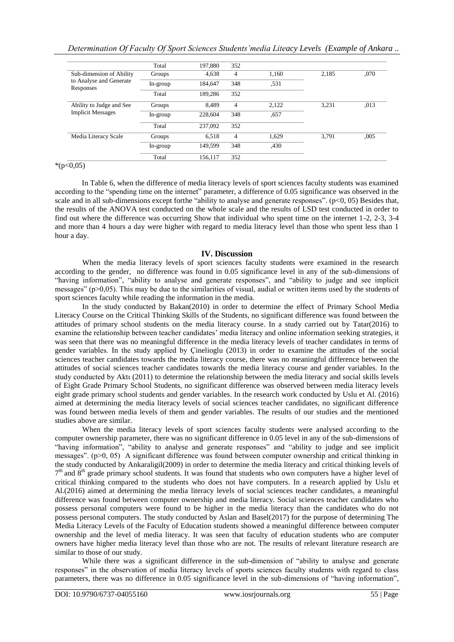|                                                                  | Total    | 197,880 | 352            |       |       |      |
|------------------------------------------------------------------|----------|---------|----------------|-------|-------|------|
| Sub-dimension of Ability<br>to Analyse and Generate<br>Responses | Groups   | 4,638   | 4              | 1,160 | 2,185 | ,070 |
|                                                                  | In-group | 184,647 | 348            | .531  |       |      |
|                                                                  | Total    | 189.286 | 352            |       |       |      |
| Ability to Judge and See                                         | Groups   | 8.489   | $\overline{4}$ | 2,122 | 3.231 | ,013 |
| <b>Implicit Messages</b>                                         | In-group | 228,604 | 348            | ,657  |       |      |
|                                                                  | Total    | 237.092 | 352            |       |       |      |
| Media Literacy Scale                                             | Groups   | 6.518   | $\overline{4}$ | 1,629 | 3.791 | ,005 |
|                                                                  | In-group | 149,599 | 348            | ,430  |       |      |
|                                                                  | Total    | 156,117 | 352            |       |       |      |
| $\sim$ $\sim$ $\sim$                                             |          |         |                |       |       |      |

 $*(p<0.05)$ 

In Table 6, when the difference of media literacy levels of sport sciences faculty students was examined according to the "spending time on the internet" parameter, a difference of 0.05 significance was observed in the scale and in all sub-dimensions except for the "ability to analyse and generate responses". ( $p<0$ , 05) Besides that, the results of the ANOVA test conducted on the whole scale and the results of LSD test conducted in order to find out where the difference was occurring Show that individual who spent time on the internet 1-2, 2-3, 3-4 and more than 4 hours a day were higher with regard to media literacy level than those who spent less than 1 hour a day.

#### **IV. Discussion**

When the media literacy levels of sport sciences faculty students were examined in the research according to the gender, no difference was found in 0.05 significance level in any of the sub-dimensions of "having information", "ability to analyse and generate responses", and "ability to judge and see implicit messages" (p>0,05). This may be due to the similarities of visual, audial or written items used by the students of sport sciences faculty while reading the information in the media.

In the study conducted by Bakan(2010) in order to determine the effect of Primary School Media Literacy Course on the Critical Thinking Skills of the Students, no significant difference was found between the attitudes of primary school students on the media literacy course. In a study carried out by Tatar(2016) to examine the relationship between teacher candidates' media literacy and online information seeking strategies, it was seen that there was no meaningful difference in the media literacy levels of teacher candidates in terms of gender variables. In the study applied by Çinelioglu (2013) in order to examine the attitudes of the social sciences teacher candidates towards the media literacy course, there was no meaningful difference between the attitudes of social sciences teacher candidates towards the media literacy course and gender variables. In the study conducted by Aktı (2011) to determine the relationship between the media literacy and social skills levels of Eight Grade Primary School Students, no significant difference was observed between media literacy levels eight grade primary school students and gender variables. In the research work conducted by Uslu et Al. (2016) aimed at determining the media literacy levels of social sciences teacher candidates, no significant difference was found between media levels of them and gender variables. The results of our studies and the mentioned studies above are similar.

When the media literacy levels of sport sciences faculty students were analysed according to the computer ownership parameter, there was no significant difference in 0.05 level in any of the sub-dimensions of "having information", "ability to analyse and generate responses" and "ability to judge and see implicit messages". (p>0, 05) A significant difference was found between computer ownership and critical thinking in the study conducted by Ankaraligil(2009) in order to determine the media literacy and critical thinking levels of 7<sup>th</sup> and 8<sup>th</sup> grade primary school students. It was found that students who own computers have a higher level of critical thinking compared to the students who does not have computers. In a research applied by Uslu et Al.(2016) aimed at determining the media literacy levels of social sciences teacher candidates, a meaningful difference was found between computer ownership and media literacy. Social sciences teacher candidates who possess personal computers were found to be higher in the media literacy than the candidates who do not possess personal computers. The study conducted by Aslan and Basel(2017) for the purpose of determining The Media Literacy Levels of the Faculty of Education students showed a meaningful difference between computer ownership and the level of media literacy. It was seen that faculty of education students who are computer owners have higher media literacy level than those who are not. The results of relevant literature research are similar to those of our study.

While there was a significant difference in the sub-dimension of "ability to analyse and generate responses" in the observation of media literacy levels of sports sciences faculty students with regard to class parameters, there was no difference in 0.05 significance level in the sub-dimensions of "having information",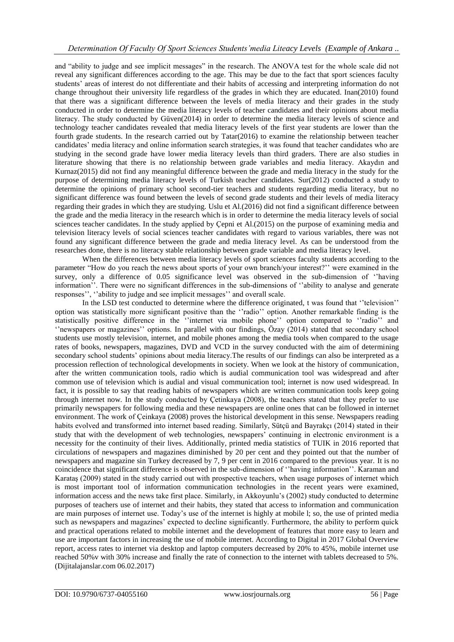and "ability to judge and see implicit messages" in the research. The ANOVA test for the whole scale did not reveal any significant differences according to the age. This may be due to the fact that sport sciences faculty students' areas of interest do not differentiate and their habits of accessing and interpreting information do not change throughout their university life regardless of the grades in which they are educated. Inan(2010) found that there was a significant difference between the levels of media literacy and their grades in the study conducted in order to determine the media literacy levels of teacher candidates and their opinions about media literacy. The study conducted by Güven(2014) in order to determine the media literacy levels of science and technology teacher candidates revealed that media literacy levels of the first year students are lower than the fourth grade students. In the research carried out by Tatar(2016) to examine the relationship between teacher candidates' media literacy and online information search strategies, it was found that teacher candidates who are studying in the second grade have lower media literacy levels than third graders. There are also studies in literature showing that there is no relationship between grade variables and media literacy. Akaydın and Kurnaz(2015) did not find any meaningful difference between the grade and media literacy in the study for the purpose of determining media literacy levels of Turkish teacher candidates. Sur(2012) conducted a study to determine the opinions of primary school second-tier teachers and students regarding media literacy, but no significant difference was found between the levels of second grade students and their levels of media literacy regarding their grades in which they are studying. Uslu et Al.(2016) did not find a significant difference between the grade and the media literacy in the research which is in order to determine the media literacy levels of social sciences teacher candidates. In the study applied by Çepni et Al.(2015) on the purpose of examining media and television literacy levels of social sciences teacher candidates with regard to various variables, there was not found any significant difference between the grade and media literacy level. As can be understood from the researches done, there is no literacy stable relationship between grade variable and media literacy level.

When the differences between media literacy levels of sport sciences faculty students according to the parameter "How do you reach the news about sports of your own branch/your interest?'' were examined in the survey, only a difference of 0.05 significance level was observed in the sub-dimension of 'having information''. There were no significant differences in the sub-dimensions of ''ability to analyse and generate responses'', ''ability to judge and see implicit messages'' and overall scale.

In the LSD test conducted to determine where the difference originated, t was found that ''television'' option was statistically more significant positive than the ''radio'' option. Another remarkable finding is the statistically positive difference in the ''internet via mobile phone'' option compared to ''radio'' and ''newspapers or magazines'' options. In parallel with our findings, Özay (2014) stated that secondary school students use mostly television, internet, and mobile phones among the media tools when compared to the usage rates of books, newspapers, magazines, DVD and VCD in the survey conducted with the aim of determining secondary school students' opinions about media literacy.The results of our findings can also be interpreted as a procession reflection of technological developments in society. When we look at the history of communication, after the written communication tools, radio which is audial communication tool was widespread and after common use of television which is audial and visual communication tool; internet is now used widespread. In fact, it is possible to say that reading habits of newspapers which are written communication tools keep going through internet now. In the study conducted by Çetinkaya (2008), the teachers stated that they prefer to use primarily newspapers for following media and these newspapers are online ones that can be followed in internet environment. The work of Çeinkaya (2008) proves the historical development in this sense. Newspapers reading habits evolved and transformed into internet based reading. Similarly, Sütçü and Bayrakçı (2014) stated in their study that with the development of web technologies, newspapers' continuing in electronic environment is a necessity for the continuity of their lives. Additionally, printed media statistics of TUIK in 2016 reported that circulations of newspapers and magazines diminished by 20 per cent and they pointed out that the number of newspapers and magazine sin Turkey decreased by 7, 9 per cent in 2016 compared to the previous year. It is no coincidence that significant difference is observed in the sub-dimension of ''having information''. Karaman and Karataş (2009) stated in the study carried out with prospective teachers, when usage purposes of internet which is most important tool of information communication technologies in the recent years were examined, information access and the news take first place. Similarly, in Akkoyunlu's (2002) study conducted to determine purposes of teachers use of internet and their habits, they stated that access to information and communication are main purposes of internet use. Today's use of the internet is highly at mobile l; so, the use of printed media such as newspapers and magazines' expected to decline significantly. Furthermore, the ability to perform quick and practical operations related to mobile internet and the development of features that more easy to learn and use are important factors in increasing the use of mobile internet. According to Digital in 2017 Global Overview report, access rates to internet via desktop and laptop computers decreased by 20% to 45%, mobile internet use reached 50%v with 30% increase and finally the rate of connection to the internet with tablets decreased to 5%. (Dijitalajanslar.com 06.02.2017)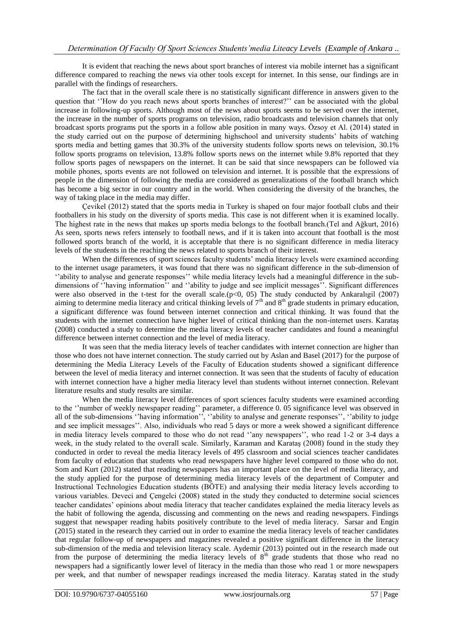It is evident that reaching the news about sport branches of interest via mobile internet has a significant difference compared to reaching the news via other tools except for internet. In this sense, our findings are in parallel with the findings of researchers.

The fact that in the overall scale there is no statistically significant difference in answers given to the question that ''How do you reach news about sports branches of interest?'' can be associated with the global increase in following-up sports. Although most of the news about sports seems to be served over the internet, the increase in the number of sports programs on television, radio broadcasts and television channels that only broadcast sports programs put the sports in a follow able position in many ways. Özsoy et Al. (2014) stated in the study carried out on the purpose of determining highschool and university students' habits of watching sports media and betting games that 30.3% of the university students follow sports news on television, 30.1% follow sports programs on television, 13.8% follow sports news on the internet while 9.8% reported that they follow sports pages of newspapers on the internet. It can be said that since newspapers can be followed via mobile phones, sports events are not followed on television and internet. It is possible that the expressions of people in the dimension of following the media are considered as generalizations of the football branch which has become a big sector in our country and in the world. When considering the diversity of the branches, the way of taking place in the media may differ.

Çevikel (2012) stated that the sports media in Turkey is shaped on four major football clubs and their footballers in his study on the diversity of sports media. This case is not different when it is examined locally. The highest rate in the news that makes up sports media belongs to the football branch.(Tel and Ağkurt, 2016) As seen, sports news refers intensely to football news, and if it is taken into account that football is the most followed sports branch of the world, it is acceptable that there is no significant difference in media literacy levels of the students in the reaching the news related to sports branch of their interest.

When the differences of sport sciences faculty students' media literacy levels were examined according to the internet usage parameters, it was found that there was no significant difference in the sub-dimension of ''ability to analyse and generate responses'' while media literacy levels had a meaningful difference in the subdimensions of ''having information'' and ''ability to judge and see implicit messages''. Significant differences were also observed in the t-test for the overall scale. $(p<0, 05)$  The study conducted by Ankaralıgil (2007) aiming to determine media literacy and critical thinking levels of  $7<sup>th</sup>$  and  $8<sup>th</sup>$  grade students in primary education, a significant difference was found between internet connection and critical thinking. It was found that the students with the internet connection have higher level of critical thinking than the non-internet users. Karataş (2008) conducted a study to determine the media literacy levels of teacher candidates and found a meaningful difference between internet connection and the level of media literacy.

It was seen that the media literacy levels of teacher candidates with internet connection are higher than those who does not have internet connection. The study carried out by Aslan and Basel (2017) for the purpose of determining the Media Literacy Levels of the Faculty of Education students showed a significant difference between the level of media literacy and internet connection. It was seen that the students of faculty of education with internet connection have a higher media literacy level than students without internet connection. Relevant literature results and study results are similar.

When the media literacy level differences of sport sciences faculty students were examined according to the ''number of weekly newspaper reading'' parameter, a difference 0. 05 significance level was observed in all of the sub-dimensions ''having information'', ''ability to analyse and generate responses'', ''ability to judge and see implicit messages''. Also, individuals who read 5 days or more a week showed a significant difference in media literacy levels compared to those who do not read ''any newspapers'', who read 1-2 or 3-4 days a week, in the study related to the overall scale. Similarly, Karaman and Karataş (2008) found in the study they conducted in order to reveal the media literacy levels of 495 classroom and social sciences teacher candidates from faculty of education that students who read newspapers have higher level compared to those who do not. Som and Kurt (2012) stated that reading newspapers has an important place on the level of media literacy, and the study applied for the purpose of determining media literacy levels of the department of Computer and Instructional Technologies Education students (BÖTE) and analysing their media literacy levels according to various variables. Deveci and Çengelci (2008) stated in the study they conducted to determine social sciences teacher candidates' opinions about media literacy that teacher candidates explained the media literacy levels as the habit of following the agenda, discussing and commenting on the news and reading newspapers. Findings suggest that newspaper reading habits positively contribute to the level of media literacy. Sarsar and Engin (2015) stated in the research they carried out in order to examine the media literacy levels of teacher candidates that regular follow-up of newspapers and magazines revealed a positive significant difference in the literacy sub-dimension of the media and television literacy scale. Aydemir (2013) pointed out in the research made out from the purpose of determining the media literacy levels of  $8<sup>th</sup>$  grade students that those who read no newspapers had a significantly lower level of literacy in the media than those who read 1 or more newspapers per week, and that number of newspaper readings increased the media literacy. Karataş stated in the study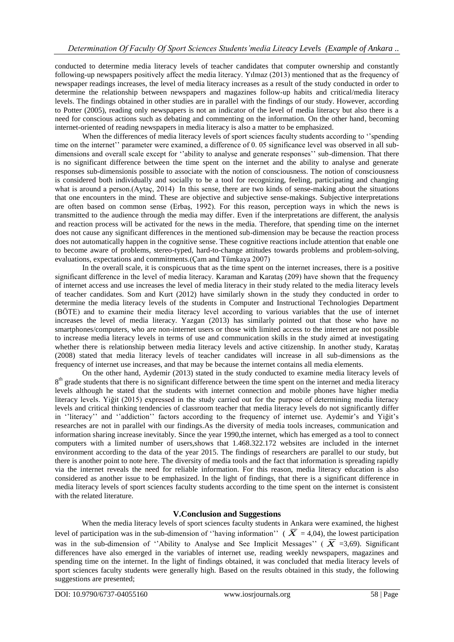conducted to determine media literacy levels of teacher candidates that computer ownership and constantly following-up newspapers positively affect the media literacy. Yılmaz (2013) mentioned that as the frequency of newspaper readings increases, the level of media literacy increases as a result of the study conducted in order to determine the relationship between newspapers and magazines follow-up habits and critical/media literacy levels. The findings obtained in other studies are in parallel with the findings of our study. However, according to Potter (2005), reading only newspapers is not an indicator of the level of media literacy but also there is a need for conscious actions such as debating and commenting on the information. On the other hand, becoming internet-oriented of reading newspapers in media literacy is also a matter to be emphasized.

When the differences of media literacy levels of sport sciences faculty students according to ''spending time on the internet'' parameter were examined, a difference of 0.05 significance level was observed in all subdimensions and overall scale except for ''ability to analyse and generate responses'' sub-dimension. That there is no significant difference between the time spent on the internet and the ability to analyse and generate responses sub-dimensionis possible to associate with the notion of consciousness. The notion of consciousness is considered both individually and socially to be a tool for recognizing, feeling, participating and changing what is around a person.(Aytac, 2014) In this sense, there are two kinds of sense-making about the situations that one encounters in the mind. These are objective and subjective sense-makings. Subjective interpretations are often based on common sense (Erbaş, 1992). For this reason, perception ways in which the news is transmitted to the audience through the media may differ. Even if the interpretations are different, the analysis and reaction process will be activated for the news in the media. Therefore, that spending time on the internet does not cause any significant differences in the mentioned sub-dimension may be because the reaction process does not automatically happen in the cognitive sense. These cognitive reactions include attention that enable one to become aware of problems, stereo-typed, hard-to-change attitudes towards problems and problem-solving, evaluations, expectations and commitments.(Çam and Tümkaya 2007)

In the overall scale, it is conspicuous that as the time spent on the internet increases, there is a positive significant difference in the level of media literacy. Karaman and Karataş (209) have shown that the frequency of internet access and use increases the level of media literacy in their study related to the media literacy levels of teacher candidates. Som and Kurt (2012) have similarly shown in the study they conducted in order to determine the media literacy levels of the students in Computer and Instructional Technologies Department (BÖTE) and to examine their media literacy level according to various variables that the use of internet increases the level of media literacy. Yazgan (2013) has similarly pointed out that those who have no smartphones/computers, who are non-internet users or those with limited access to the internet are not possible to increase media literacy levels in terms of use and communication skills in the study aimed at investigating whether there is relationship between media literacy levels and active citizenship. In another study, Karataş (2008) stated that media literacy levels of teacher candidates will increase in all sub-dimensions as the frequency of internet use increases, and that may be because the internet contains all media elements.

On the other hand, Aydemir (2013) stated in the study conducted to examine media literacy levels of 8<sup>th</sup> grade students that there is no significant difference between the time spent on the internet and media literacy levels although he stated that the students with internet connection and mobile phones have higher media literacy levels. Yiğit (2015) expressed in the study carried out for the purpose of determining media literacy levels and critical thinking tendencies of classroom teacher that media literacy levels do not significantly differ in ''literacy'' and ''addiction'' factors according to the frequency of internet use. Aydemir's and Yiğit's researches are not in parallel with our findings.As the diversity of media tools increases, communication and information sharing increase inevitably. Since the year 1990,the internet, which has emerged as a tool to connect computers with a limited number of users,shows that 1.468.322.172 websites are included in the internet environment according to the data of the year 2015. The findings of researchers are parallel to our study, but there is another point to note here. The diversity of media tools and the fact that information is spreading rapidly via the internet reveals the need for reliable information. For this reason, media literacy education is also considered as another issue to be emphasized. In the light of findings, that there is a significant difference in media literacy levels of sport sciences faculty students according to the time spent on the internet is consistent with the related literature.

## **V.Conclusion and Suggestions**

When the media literacy levels of sport sciences faculty students in Ankara were examined, the highest level of participation was in the sub-dimension of "having information" ( $\overline{X}$  = 4,04), the lowest participation was in the sub-dimension of "Ability to Analyse and See Implicit Messages" ( $\overline{X}$  =3,69). Significant differences have also emerged in the variables of internet use, reading weekly newspapers, magazines and spending time on the internet. In the light of findings obtained, it was concluded that media literacy levels of sport sciences faculty students were generally high. Based on the results obtained in this study, the following suggestions are presented;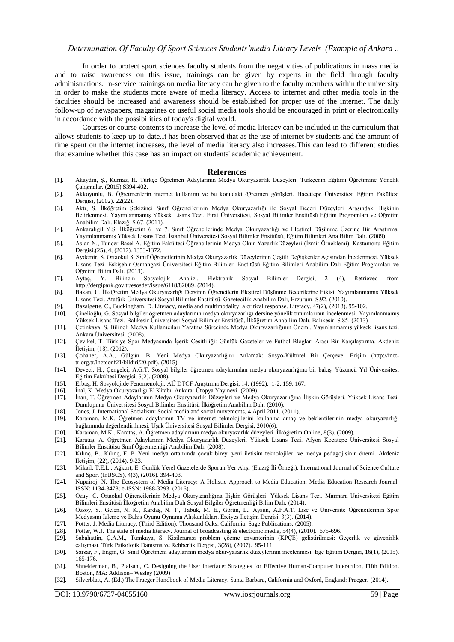In order to protect sport sciences faculty students from the negativities of publications in mass media and to raise awareness on this issue, trainings can be given by experts in the field through faculty administrations. In-service trainings on media literacy can be given to the faculty members within the university in order to make the students more aware of media literacy. Access to internet and other media tools in the faculties should be increased and awareness should be established for proper use of the internet. The daily follow-up of newspapers, magazines or useful social media tools should be encouraged in print or electronically in accordance with the possibilities of today's digital world.

Courses or course contents to increase the level of media literacy can be included in the curriculum that allows students to keep up-to-date.It has been observed that as the use of internet by students and the amount of time spent on the internet increases, the level of media literacy also increases.This can lead to different studies that examine whether this case has an impact on students' academic achievement.

#### **References**

- [1]. Akaydın, Ş., Kurnaz, H. Türkçe Öğretmen Adaylarının Medya Okuryazarlık Düzeyleri. Türkçenin Eğitimi Öğretimine Yönelik Çalışmalar. (2015) S394-402.
- [2]. Akkoyunlu, B. Öğretmenlerin internet kullanımı ve bu konudaki öğretmen görüşleri. Hacettepe Üniversitesi Eğitim Fakültesi Dergisi, (2002). 22(22).
- [3]. Aktı, S. İlköğretim Sekizinci Sınıf Öğrencilerinin Medya Okuryazarlığı ile Sosyal Beceri Düzeyleri Arasındaki İlişkinin Belirlenmesi. Yayımlanmamış Yüksek Lisans Tezi. Fırat Üniversitesi, Sosyal Bilimler Enstitüsü Eğitim Programları ve Öğretim Anabilim Dalı. Elazığ. S.67. (2011).
- [4]. Ankaralıgil Y.S. İlköğretim 6. ve 7. Sınıf Öğrencilerinde Medya Okuryazarlığı ve Eleştirel Düşünme Üzerine Bir Araştırma. Yayımlanmamış Yüksek Lisans Tezi. İstanbul Üniversitesi Sosyal Bilimler Enstitüsü, Eğitim Bilimleri Ana Bilim Dalı. (2009).
- [5]. Aslan N., Tuncer Basel A. Eğitim Fakültesi Öğrencilerinin Medya Okur-YazarlıkDüzeyleri (İzmir Örneklemi). Kastamonu Eğitim Dergisi.(25), 4, (2017). 1353-1372.
- [6]. Aydemir, S. Ortaokul 8. Sınıf Öğrencilerinin Medya Okuryazarlık Düzeylerinin Çeşitli Değişkenler Açısından İncelenmesi. Yüksek Lisans Tezi. Eskişehir Osmangazi Üniversitesi Eğitim Bilimleri Enstitüsü Eğitim Bilimleri Anabilim Dalı Eğitim Programları ve Öğretim Bilim Dalı. (2013).<br>Aytaç, Y. Bilincin Sosyolojik
- [7]. Aytaç, Y. Bilincin Sosyolojik Analizi. Elektronik Sosyal Bilimler Dergisi, 2 (4), Retrieved from [http://dergipark.gov.tr/esosder/issue/6118/82089.](http://dergipark.gov.tr/esosder/issue/6118/82089) (2014).
- [8]. Bakan, U. İlköğretim Medya Okuryazarlığı Dersinin Öğrencilerin Eleştirel Düşünme Becerilerine Etkisi. Yayımlanmamış Yüksek Lisans Tezi. Atatürk Üniversitesi Sosyal Bilimler Enstitüsü. Gazetecilik Anabilim Dalı, Erzurum. S.92. (2010).
- [9]. Bazalgette, C., Buckingham, D. Literacy, media and multimodality: a critical response. Literacy. 47(2), (2013). 95-102.
- [10]. Çinelioğlu, G. Sosyal bilgiler öğretmen adaylarının medya okuryazarlığı dersine yönelik tutumlarının incelenmesi. Yayımlanmamış Yüksek Lisans Tezi. Balıkesir Üniversitesi Sosyal Bilimler Enstitüsü, İlköğretim Anabilim Dalı. Balıkesir. S.85. (2013)
- [11]. Çetinkaya, S. Bilinçli Medya Kullanıcıları Yaratma Sürecinde Medya Okuryazarlığının Önemi. Yayınlanmamış yüksek lisans tezi. Ankara Üniversitesi. (2008).
- [12]. Çevikel, T. Türkiye Spor Medyasında İçerik Çeşitliliği: Günlük Gazeteler ve Futbol Blogları Arası Bir Karşılaştırma. Akdeniz İletişim, (18). (2012).
- [13]. Çobaner, A.A., Gülgün. B. Yeni Medya Okuryazarlığını Anlamak: Sosyo-Kültürel Bir Çerçeve. Erişim (http://inettr.org.tr/inetconf21/bildiri/20.pdf). (2015).
- [14]. Deveci, H., Çengelci, A.G.T. Sosyal bilgiler öğretmen adaylarından medya okuryazarlığına bir bakış. Yüzüncü Yıl Üniversitesi Eğitim Fakültesi Dergisi, 5(2). (2008).
- [15]. Erbaş, H. Sosyolojide Fenomenoloji. AÜ DTCF Araştırma Dergisi, 14, (1992). 1-2, 159, 167.
- [16]. İnal, K. Medya Okuryazarlığı El Kitabı. Ankara: Ütopya Yayınevi. (2009).
- [17]. İnan, T. Öğretmen Adaylarının Medya Okuryazarlık Düzeyleri ve Medya Okuryazarlığına İlişkin Görüşleri. Yüksek Lisans Tezi. Dumlupınar Üniversitesi Sosyal Bilimler Enstitüsü İlköğretim Anabilim Dalı. (2010).
- [18]. Jones, J. International Socialism: Social media and social movements, 4 April 2011. (2011).
- [19]. Karaman, M.K. Öğretmen adaylarının TV ve internet teknolojilerini kullanma amaç ve beklentilerinin medya okuryazarlığı bağlamında değerlendirilmesi. Uşak Üniversitesi Sosyal Bilimler Dergisi, 2010(6).
- [20]. Karaman, M.K., Karataş, A. Öğretmen adaylarının medya okuryazarlık düzeyleri. İlköğretim Online, 8(3). (2009).
- [21]. Karataş, A. Öğretmen Adaylarının Medya Okuryazarlık Düzeyleri. Yüksek Lisans Tezi. Afyon Kocatepe Üniversitesi Sosyal Bilimler Enstitüsü Sınıf Öğretmenliği Anabilim Dalı. (2008).
- [22]. Kılınç, B., Kılınç, E. P. Yeni medya ortamında çocuk birey: yeni iletişim teknolojileri ve medya pedagojisinin önemi. Akdeniz İletişim, (22), (2014). 9-23.
- [23]. Mikail, T.E.L., Ağkurt, E. Günlük Yerel Gazetelerde Sporun Yer Alışı (Elazığ İli Örneği). International Journal of Science Culture and Sport (IntJSCS), 4(3), (2016). 394-403.
- [24]. Nupairoj, N. The Ecosystem of Media Literacy: A Holistic Approach to Media Education. Media Education Research Journal. ISSN: 1134-3478; e-ISSN: 1988-3293. (2016).
- [25]. Özay, C. Ortaokul Öğrencilerinin Medya Okuryazarlığına İlişkin Görüşleri. Yüksek Lisans Tezi. Marmara Üniversitesi Eğitim Bilimleri Enstitüsü İlköğretim Anabilim Dalı Sosyal Bilgiler Öğretmenliği Bilim Dalı. (2014).
- [26]. Özsoy, S., Gelen, N. K., Kardaş, N. T., Tabuk, M. E., Görün, L., Aysun, A.F.A.T. Lise ve Üniversite Öğrencilerinin Spor Medyasını İzleme ve Bahis Oyunu Oynama Alışkanlıkları. Erciyes İletişim Dergisi, 3(3). (2014).
- [27]. Potter, J. Media Literacy. (Third Edition). Thousand Oaks: California: Sage Publications. (2005).
- [28]. Potter, W.J. The state of media literacy. Journal of broadcasting & electronic media, 54(4), (2010). 675-696.
- [29]. Sabahattin, Ç.A.M., Tümkaya, S. Kişilerarası problem çözme envanterinin (KPÇE) geliştirilmesi: Geçerlik ve güvenirlik çalışması. Türk Psikolojik Danışma ve Rehberlik Dergisi, 3(28), (2007). 95-111.
- [30]. Sarsar, F., Engin, G. Sınıf Öğretmeni adaylarının medya okur-yazarlık düzeylerinin incelenmesi. Ege Eğitim Dergisi, 16(1), (2015). 165-176.
- [31]. Shneiderman, B., Plaisant, C. Designing the User Interface: Strategies for Effective Human-Computer Interaction, Fifth Edition. Boston, MA: Addison– Wesley (2009)
- [32]. Silverblatt, A. (Ed.) The Praeger Handbook of Media Literacy. Santa Barbara, California and Oxford, England: Praeger. (2014).